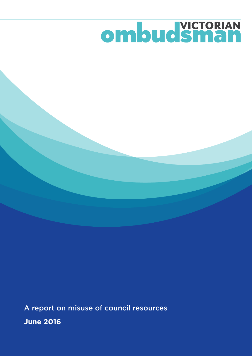# ombud Sman

A report on misuse of council resources **June 2016**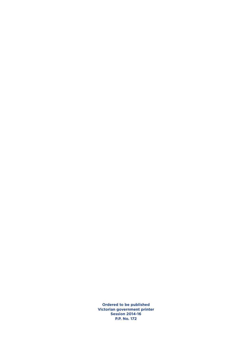**Ordered to be published Victorian government printer Session 2014-16 P.P. No. 172**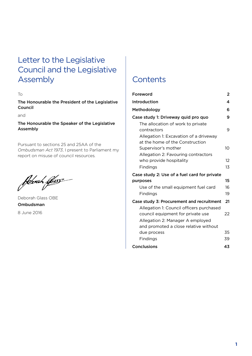# Letter to the Legislative Council and the Legislative Assembly Contents

To

The Honourable the President of the Legislative Council

and

The Honourable the Speaker of the Legislative Assembly

Pursuant to sections 25 and 25AA of the *Ombudsman Act 1973*, I present to Parliament my report on misuse of council resources*.*

febrah ljess

Deborah Glass OBE Ombudsman 8 June 2016

| Foreword                                                                      | 2  |
|-------------------------------------------------------------------------------|----|
| Introduction                                                                  | 4  |
| Methodology                                                                   | 6  |
| Case study 1: Driveway quid pro quo                                           | 9  |
| The allocation of work to private<br>contractors                              | 9  |
| Allegation 1: Excavation of a driveway<br>at the home of the Construction     |    |
| Supervisor's mother                                                           | 10 |
| Allegation 2: Favouring contractors                                           |    |
| who provide hospitality                                                       | 12 |
| Findings                                                                      | 13 |
| Case study 2: Use of a fuel card for private                                  |    |
| purposes                                                                      | 15 |
| Use of the small equipment fuel card                                          | 16 |
| Findings                                                                      | 19 |
| Case study 3: Procurement and recruitment                                     | 21 |
| Allegation 1: Council officers purchased<br>council equipment for private use | 22 |
| Allegation 2: Manager A employed                                              |    |
| and promoted a close relative without                                         |    |
| due process                                                                   | 35 |
| Findings                                                                      | 39 |
| <b>Conclusions</b>                                                            | 43 |
|                                                                               |    |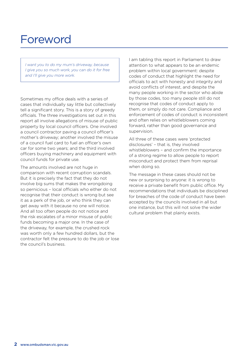# Foreword

*I want you to do my mum's driveway, because I give you so much work, you can do it for free and I'll give you more work.*

Sometimes my office deals with a series of cases that individually say little but collectively tell a significant story. This is a story of greedy officials. The three investigations set out in this report all involve allegations of misuse of public property by local council officers. One involved a council contractor paving a council officer's mother's driveway; another involved the misuse of a council fuel card to fuel an officer's own car for some two years; and the third involved officers buying machinery and equipment with council funds for private use.

The amounts involved are not huge in comparison with recent corruption scandals. But it is precisely the fact that they do not involve big sums that makes the wrongdoing so pernicious – local officials who either do not recognise that their conduct is wrong but see it as a perk of the job, or who think they can get away with it because no one will notice. And all too often people do not notice and the risk escalates of a minor misuse of public funds becoming a major one. In the case of the driveway, for example, the crushed rock was worth only a few hundred dollars, but the contractor felt the pressure to do the job or lose the council's business.

I am tabling this report in Parliament to draw attention to what appears to be an endemic problem within local government: despite codes of conduct that highlight the need for officials to act with honesty and integrity and avoid conflicts of interest, and despite the many people working in the sector who abide by those codes, too many people still do not recognise that codes of conduct apply to them, or simply do not care. Compliance and enforcement of codes of conduct is inconsistent and often relies on whistleblowers coming forward, rather than good governance and supervision.

All three of these cases were 'protected disclosures' – that is, they involved whistleblowers – and confirm the importance of a strong regime to allow people to report misconduct and protect them from reprisal when doing so.

The message in these cases should not be new or surprising to anyone: it is wrong to receive a private benefit from public office. My recommendations that individuals be disciplined for breaches of the code of conduct have been accepted by the councils involved in all but one instance, but this will not solve the wider cultural problem that plainly exists.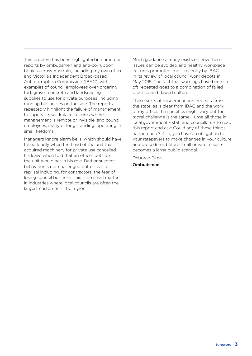This problem has been highlighted in numerous reports by ombudsmen and anti-corruption bodies across Australia, including my own office and Victoria's Independent Broad-based Anti-corruption Commission (IBAC), with examples of council employees over-ordering turf, gravel, concrete and landscaping supplies to use for private purposes, including running businesses on the side. The reports repeatedly highlight the failure of management to supervise; workplace cultures where management is remote or invisible; and council employees, many of long standing, operating in small fiefdoms.

Managers ignore alarm bells, which should have tolled loudly when the head of the unit that acquired machinery for private use cancelled his leave when told that an officer outside the unit would act in his role. Bad or suspect behaviour is not challenged out of fear of reprisal including, for contractors, the fear of losing council business. This is no small matter in industries where local councils are often the largest customer in the region.

Much guidance already exists on how these issues can be avoided and healthy workplace cultures promoted, most recently by IBAC in its review of local council work depots in May 2015. The fact that warnings have been so oft repeated goes to a combination of failed practice and flawed culture.

These sorts of misdemeanours repeat across the state, as is clear from IBAC and the work of my office: the specifics might vary but the moral challenge is the same. I urge all those in local government – staff and councillors – to read this report and ask: Could any of these things happen here? If so, you have an obligation to your ratepayers to make changes in your culture and procedures before small private misuse becomes a large public scandal.

Deborah Glass Ombudsman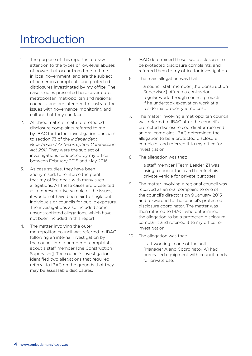# Introduction

- 1. The purpose of this report is to draw attention to the types of low-level abuses of power that occur from time to time in local government, and are the subject of numerous complaints and protected disclosures investigated by my office. The case studies presented here cover outer metropolitan, metropolitan and regional councils, and are intended to illustrate the issues with governance, monitoring and culture that they can face.
- 2. All three matters relate to protected disclosure complaints referred to me by IBAC for further investigation pursuant to section 73 of the *Independent Broad-based Anti-corruption Commission Act 2011*. They were the subject of investigations conducted by my office between February 2015 and May 2016.
- 3. As case studies, they have been anonymised, to reinforce the point that my office deals with many such allegations. As these cases are presented as a representative sample of the issues, it would not have been fair to single out individuals or councils for public exposure. The investigations also included some unsubstantiated allegations, which have not been included in this report.
- 4. The matter involving the outer metropolitan council was referred to IBAC following an internal investigation by the council into a number of complaints about a staff member [the Construction Supervisor]. The council's investigation identified two allegations that required referral to IBAC on the grounds that they may be assessable disclosures.
- 5. IBAC determined these two disclosures to be protected disclosure complaints, and referred them to my office for investigation.
- 6. The main allegation was that:
	- a council staff member [the Construction Supervisor] offered a contractor regular work through council projects if he undertook excavation work at a residential property at no cost.
- 7. The matter involving a metropolitan council was referred to IBAC after the council's protected disclosure coordinator received an oral complaint. IBAC determined the allegation to be a protected disclosure complaint and referred it to my office for investigation.
- 8. The allegation was that:

a staff member [Team Leader Z] was using a council fuel card to refuel his private vehicle for private purposes.

- 9. The matter involving a regional council was received as an oral complaint to one of the council's directors on 9 January 2015 and forwarded to the council's protected disclosure coordinator. The matter was then referred to IBAC, who determined the allegation to be a protected disclosure complaint and referred it to my office for investigation.
- 10. The allegation was that:

staff working in one of the units [Manager A and Coordinator A] had purchased equipment with council funds for private use.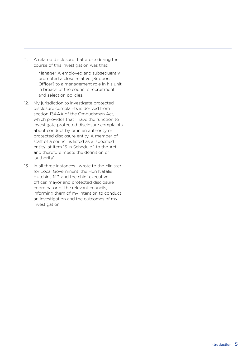11. A related disclosure that arose during the course of this investigation was that:

> Manager A employed and subsequently promoted a close relative [Support Officer] to a management role in his unit, in breach of the council's recruitment and selection policies.

- 12. My jurisdiction to investigate protected disclosure complaints is derived from section 13AAA of the Ombudsman Act, which provides that I have the function to investigate protected disclosure complaints about conduct by or in an authority or protected disclosure entity. A member of staff of a council is listed as a 'specified entity' at item 15 in Schedule 1 to the Act, and therefore meets the definition of 'authority'.
- 13. In all three instances I wrote to the Minister for Local Government, the Hon Natalie Hutchins MP, and the chief executive officer, mayor and protected disclosure coordinator of the relevant councils, informing them of my intention to conduct an investigation and the outcomes of my investigation.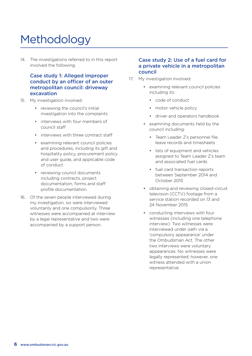# Methodology

14. The investigations referred to in this report involved the following.

#### Case study 1: Alleged improper conduct by an officer of an outer metropolitan council: driveway excavation

- 15. My investigation involved:
	- reviewing the council's initial investigation into the complaints
	- interviews with four members of council staff
	- • interviews with three contract staff
	- • examining relevant council policies and procedures, including its gift and hospitality policy, procurement policy and user guide, and applicable code of conduct
	- • reviewing council documents including contracts, project documentation, forms and staff profile documentation.
- 16. Of the seven people interviewed during my investigation, six were interviewed voluntarily and one compulsorily. Three witnesses were accompanied at interview by a legal representative and two were accompanied by a support person.

#### Case study 2: Use of a fuel card for a private vehicle in a metropolitan council

- 17. My investigation involved:
	- • examining relevant council policies including its:
		- • code of conduct
		- motor vehicle policy
		- driver and operators handbook
	- • examining documents held by the council including:
		- Team Leader Z's personnel file. leave records and timesheets
		- lists of equipment and vehicles assigned to Team Leader Z's team and associated fuel cards
		- fuel card transaction reports between September 2014 and October 2015
	- • obtaining and reviewing closed-circuit television (CCTV) footage from a service station recorded on 13 and 24 November 2015
	- • conducting interviews with four witnesses (including one telephone interview). Two witnesses were interviewed under oath via a 'compulsory appearance' under the Ombudsman Act. The other two interviews were voluntary appearances. No witnesses were legally represented; however, one witness attended with a union representative.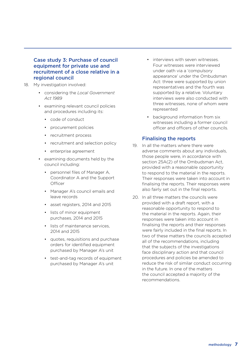#### Case study 3: Purchase of council equipment for private use and recruitment of a close relative in a regional council

- 18. My investigation involved:
	- • considering the *Local Government Act 1989*
	- • examining relevant council policies and procedures including its:
		- • code of conduct
		- • procurement policies
		- recruitment process
		- recruitment and selection policy
		- • enterprise agreement
	- • examining documents held by the council including:
		- • personnel files of Manager A, Coordinator A and the Support **Officer**
		- • Manager A's council emails and leave records
		- • asset registers, 2014 and 2015
		- lists of minor equipment purchases, 2014 and 2015
		- lists of maintenance services. 2014 and 2015
		- • quotes, requisitions and purchase orders for identified equipment purchased by Manager A's unit
		- test-and-tag records of equipment purchased by Manager A's unit
- interviews with seven witnesses Four witnesses were interviewed under oath via a 'compulsory appearance' under the Ombudsman Act: three were supported by union representatives and the fourth was supported by a relative. Voluntary interviews were also conducted with three witnesses, none of whom were represented
- background information from six witnesses including a former council officer and officers of other councils.

#### Finalising the reports

- 19. In all the matters where there were adverse comments about any individuals, those people were, in accordance with section 25A(2) of the Ombudsman Act, provided with a reasonable opportunity to respond to the material in the reports. Their responses were taken into account in finalising the reports. Their responses were also fairly set out in the final reports.
- 20. In all three matters the councils were provided with a draft report, with a reasonable opportunity to respond to the material in the reports. Again, their responses were taken into account in finalising the reports and their responses were fairly included in the final reports. In two of these matters the councils accepted all of the recommendations, including that the subjects of the investigations face disciplinary action and that council procedures and policies be amended to reduce the risk of similar conduct occurring in the future. In one of the matters the council accepted a majority of the recommendations.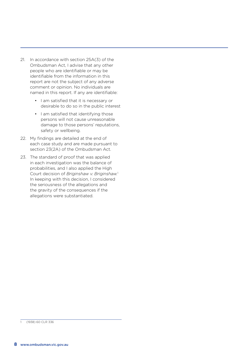- 21. In accordance with section 25A(3) of the Ombudsman Act, I advise that any other people who are identifiable or may be identifiable from the information in this report are not the subject of any adverse comment or opinion. No individuals are named in this report. If any are identifiable:
	- I am satisfied that it is necessary or desirable to do so in the public interest
	- • I am satisfied that identifying those persons will not cause unreasonable damage to those persons' reputations, safety or wellbeing.
- 22. My findings are detailed at the end of each case study and are made pursuant to section 23(2A) of the Ombudsman Act.
- 23. The standard of proof that was applied in each investigation was the balance of probabilities, and I also applied the High Court decision of *Briginshaw v. Briginshaw.*<sup>1</sup> In keeping with this decision, I considered the seriousness of the allegations and the gravity of the consequences if the allegations were substantiated.

<sup>1 (1938) 60</sup> CLR 336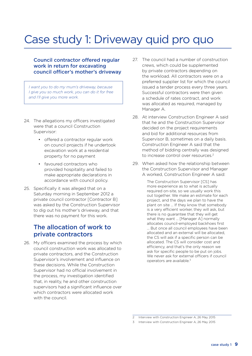# Case study 1: Driveway quid pro quo

#### Council contractor offered regular work in return for excavating council officer's mother's driveway

*I want you to do my mum's driveway, because I give you so much work, you can do it for free and I'll give you more work.*

- 24. The allegations my officers investigated were that a council Construction Supervisor:
	- • offered a contractor regular work on council projects if he undertook excavation work at a residential property for no payment
	- favoured contractors who provided hospitality and failed to make appropriate declarations in accordance with council policy.
- 25. Specifically it was alleged that on a Saturday morning in September 2012 a private council contractor [Contractor B] was asked by the Construction Supervisor to dig out his mother's driveway, and that there was no payment for this work.

### The allocation of work to private contractors

26. My officers examined the process by which council construction work was allocated to private contractors, and the Construction Supervisor's involvement and influence on these decisions. While the Construction Supervisor had no official involvement in the process, my investigation identified that, in reality, he and other construction supervisors had a significant influence over which contractors were allocated work with the council.

- 27. The council had a number of construction crews, which could be supplemented by private contractors depending on the workload. All contractors were on a preferred supplier list for which the council issued a tender process every three years. Successful contractors were then given a schedule of rates contract, and work was allocated as required, managed by Manager A.
- 28. At interview Construction Engineer A said that he and the Construction Supervisor decided on the project requirements and bid for additional resources from Supervisor B, sometimes on a daily basis. Construction Engineer A said that the method of bidding centrally was designed to increase control over resources.2
- 29. When asked how the relationship between the Construction Supervisor and Manager A worked, Construction Engineer A said:

The Construction Supervisor [CS] has more experience as to what is actually required on-site, so we usually work this out together. We make an estimate for each project, and the days we plan to have the plant on site … If they know that somebody is a very efficient worker, they will ask, but there is no guarantee that they will get what they want … [Manager A] normally allocates council-employed backhoes first … But once all council employees have been allocated and an external will be allocated, the CS will ask if a specific person can be allocated. The CS will consider cost and efficiency, and that's the only reason we ask for specific people to be put on jobs. We never ask for external officers if council operators are available.<sup>3</sup>

<sup>2</sup> Interview with Construction Engineer A, 26 May 2015

<sup>3</sup> Interview with Construction Engineer A, 26 May 2015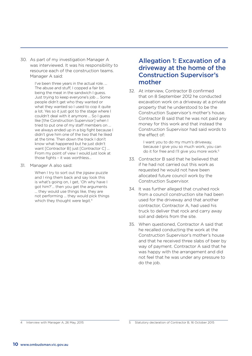30. As part of my investigation Manager A was interviewed. It was his responsibility to resource each of the construction teams. Manager A said:

> I've been three years in the actual role. … The abuse and stuff, I copped a fair bit being the meat in the sandwich I guess. Just trying to keep everyone's job … Some people didn't get who they wanted or what they wanted so I used to cop it quite a lot. Yes so it just got to the stage where I couldn't deal with it anymore … So I guess like [the Construction Supervisor] when I tried to put one of my staff members on … we always ended up in a big fight because I didn't give him one of the two that he liked at the time. Then down the track I don't know what happened but he just didn't want [Contractor B] just [Contractor C] ... From my point of view I would just look at those fights – it was worthless…

31. Manager A also said:

When I try to sort out the jigsaw puzzle and I ring them back and say look this is what's going on, I get, 'Oh why have I got him?'… then you get the arguments … they would use things like, they are not performing … they would pick things which they thought were legit.<sup>4</sup>

### Allegation 1: Excavation of a driveway at the home of the Construction Supervisor's mother

32. At interview, Contractor B confirmed that on 8 September 2012 he conducted excavation work on a driveway at a private property that he understood to be the Construction Supervisor's mother's house. Contractor B said that he was not paid any money for this work and that instead the Construction Supervisor had said words to the effect of:

> I want you to do my mum's driveway, because I give you so much work, you can do it for free and I'll give you more work.<sup>5</sup>

- 33. Contractor B said that he believed that if he had not carried out this work as requested he would not have been allocated future council work by the Construction Supervisor.
- 34. It was further alleged that crushed rock from a council construction site had been used for the driveway and that another contractor, Contractor A, had used his truck to deliver that rock and carry away soil and debris from the site.
- 35. When questioned, Contractor A said that he recalled conducting the work at the Construction Supervisor's mother's house and that he received three slabs of beer by way of payment. Contractor A said that he was happy with the arrangement and did not feel that he was under any pressure to do the job.

<sup>4</sup> Interview with Manager A, 26 May, 2015

<sup>5</sup> Statutory declaration of Contractor B, 16 October 2015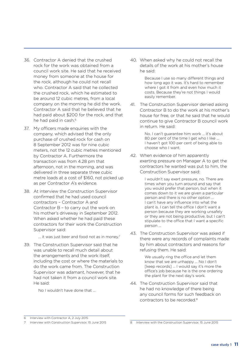- 36. Contractor A denied that the crushed rock for the work was obtained from a council work site. He said that he received money from someone at the house for the rock, although he could not recall who. Contractor A said that he collected the crushed rock, which he estimated to be around 12 cubic metres, from a local company on the morning he did the work. Contractor A said that he believed that he had paid about \$200 for the rock, and that he had paid in cash.<sup>6</sup>
- 37. My officers made enquiries with the company, which advised that the only purchase of crushed rock for cash on 8 September 2012 was for nine cubic meters, not the 12 cubic metres mentioned by Contractor A. Furthermore the transaction was from 4.28 pm that afternoon, not in the morning, and was delivered in three separate three cubic metre loads at a cost of \$160, not picked up as per Contractor A's evidence.
- 38. At interview the Construction Supervisor confirmed that he had used council contractors – Contractor A and Contractor B – to carry out the work on his mother's driveway in September 2012. When asked whether he had paid these contractors for their work the Construction Supervisor said:
	- … it was just beer and food not as in money.7
- 39. The Construction Supervisor said that he was unable to recall much detail about the arrangements and the work itself, including the cost or where the materials to do the work came from. The Construction Supervisor was adamant, however, that he had not taken it from a council work site. He said:

No I wouldn't have done that …

40. When asked why he could not recall the details of the work at his mother's house he said:

> Because I use so many different things and how long ago it was. It's hard to remember where I got it from and even how much it costs. Because they're not things I would easily remember.

41. The Construction Supervisor denied asking Contractor B to do the work at his mother's house for free, or that he said that he would continue to give Contractor B council work in return. He said:

> No. I can't guarantee him work … it's about 80 per cent of the time I get who I like ... I haven't got 100 per cent of being able to choose who I want.

42. When evidence of him apparently exerting pressure on Manager A to get the contractors he wanted was put to him, the Construction Supervisor said:

> I wouldn't say exert pressure, no. There are times when you turn around and say that you would prefer that person, but when it comes down to it we are given a particular person and there is no other option … I can't have any influence into what the plant is. I can tell the office I don't want a person because they are working unsafely or they are not being productive, but I can't stipulate to the office that I want a specific person …

43. The Construction Supervisor was asked if there were any records of complaints made by him about contractors and reasons for refusing them. He said:

> We usually ring the office and let them know that we are unhappy … No I don't [keep records] ... I would say it's more the office's job because he is the one ordering the plant for the next day's work.

44. The Construction Supervisor said that he had no knowledge of there being any council forms for such feedback on contractors to be recorded.<sup>8</sup>

<sup>6</sup> Interview with Contractor A, 2 July 2015

<sup>7</sup> Interview with Construction Supervisor, 15 June 2015

<sup>8</sup> Interview with the Construction Supervisor, 15 June 2015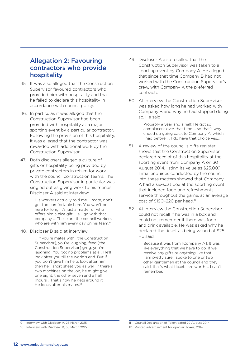### Allegation 2: Favouring contractors who provide hospitality

- 45. It was also alleged that the Construction Supervisor favoured contractors who provided him with hospitality and that he failed to declare this hospitality in accordance with council policy.
- 46. In particular, it was alleged that the Construction Supervisor had been provided with hospitality at a major sporting event by a particular contractor. Following the provision of this hospitality, it was alleged that the contractor was rewarded with additional work by the Construction Supervisor.
- 47. Both disclosers alleged a culture of gifts or hospitality being provided by private contractors in return for work with the council construction teams. The Construction Supervisor in particular was singled out as giving work to his friends. Discloser A said at interview:

His workers actually told me … mate, don't get too comfortable here. You won't be here for long. It's just a matter of who offers him a nice gift. He'll go with that … company … These are the council workers who are with him every day on his team.<sup>9</sup>

48. Discloser B said at interview:

… if you're mates with [the Construction Supervisor], you're laughing, feed [the Construction Supervisor] grog, you're laughing. You got no problems at all. He'll look after you till the world's end. But if you don't give him help, look after him, then he'll short sheet you as well. If there's two machines on the job, he might give one eight, the other seven and a half [hours]. That's how he gets around it. He looks after his mates.<sup>10</sup>

- 49. Discloser A also recalled that the Construction Supervisor was taken to a sporting event by Company A. He alleged that since that time Company B had not worked with the Construction Supervisor's crew, with Company A the preferred contractor.
- 50. At interview the Construction Supervisor was asked how long he had worked with Company B and why he had stopped doing so. He said:

Probably a year and a half. He got so complacent over that time … so that's why I ended up going back to Company A, which I had before …. I do have that choice yes…

- 51. A review of the council's gifts register shows that the Construction Supervisor declared receipt of this hospitality at the sporting event from Company A on 30 August 2014, listing its value as \$25.00.<sup>11</sup> Initial enquiries conducted by the council into these matters showed that Company A had a six-seat box at the sporting event that included food and refreshments service throughout the game, at an average cost of \$190-220 per head.<sup>12</sup>
- 52. At interview the Construction Supervisor could not recall if he was in a box and could not remember if there was food and drink available. He was asked why he declared the ticket as being valued at \$25. He said:

Because it was from [Company A]. It was like everything that we have to do. If we receive any gifts or anything like that … I am pretty sure I spoke to one or two other gentlemen at the council and they said, that's what tickets are worth … I can't remember.

Interview with Discloser A, 26 March 2015

<sup>10</sup> Interview with Discloser B, 30 March 2015

<sup>11</sup> Council Declaration of Token dated 29 August 2014

<sup>12</sup> Printed advertisement for open air boxes, 2014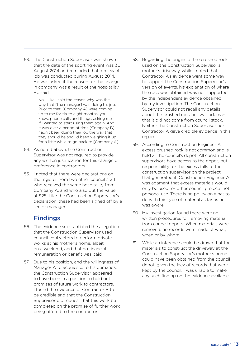53. The Construction Supervisor was shown that the date of the sporting event was 30 August 2014 and reminded that a relevant job was conducted during August 2014. He was asked if the reason for the change in company was a result of the hospitality. He said:

> No … like I said the reason why was the way that [the manager] was doing his job. Prior to that, [Company A] were coming up to me for six to eight months, you know, phone calls and things, asking me if I wanted to start using them again. And it was over a period of time [Company B] hadn't been doing their job the way that they should be and I'd been weighing it up for a little while to go back to [Company A].

- 54. As noted above, the Construction Supervisor was not required to provide any written justification for this change of preference in contractors.
- 55. I noted that there were declarations on the register from two other council staff who received the same hospitality from Company A, and who also put the value at \$25. Like the Construction Supervisor's declaration, these had been signed off by a senior manager.

# Findings

- 56. The evidence substantiated the allegation that the Construction Supervisor used council contractors to perform private works at his mother's home, albeit on a weekend, and that no financial remuneration or benefit was paid.
- 57. Due to his position, and the willingness of Manager A to acquiesce to his demands, the Construction Supervisor appeared to have been in a position to hold out promises of future work to contractors. I found the evidence of Contractor B to be credible and that the Construction Supervisor did request that this work be completed on the promise of further work being offered to the contractors.
- 58. Regarding the origins of the crushed rock used on the Construction Supervisor's mother's driveway, while I noted that Contractor A's evidence went some way to support the Construction Supervisor's version of events, his explanation of where the rock was obtained was not supported by the independent evidence obtained by my investigation. The Construction Supervisor could not recall any details about the crushed rock but was adamant that it did not come from council stock. Neither the Construction Supervisor nor Contractor A gave credible evidence in this regard.
- 59. According to Construction Engineer A, excess crushed rock is not common and is held at the council's depot. All construction supervisors have access to the depot, but responsibility for the excess falls to the construction supervisor on the project that generated it. Construction Engineer A was adamant that excess materials would only be used for other council projects not personal use. There is no policy on what to do with this type of material as far as he was aware.
- 60. My investigation found there were no written procedures for removing material from council depots. When materials were removed, no records were made of what, when or by whom.
- 61. While an inference could be drawn that the materials to construct the driveway at the Construction Supervisor's mother's home could have been obtained from the council depot, given the lack of records that were kept by the council, I was unable to make any such finding on the evidence available.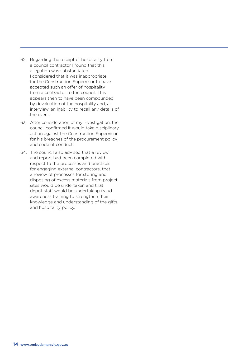- 62. Regarding the receipt of hospitality from a council contractor I found that this allegation was substantiated. I considered that it was inappropriate for the Construction Supervisor to have accepted such an offer of hospitality from a contractor to the council. This appears then to have been compounded by devaluation of the hospitality and, at interview, an inability to recall any details of the event.
- 63. After consideration of my investigation, the council confirmed it would take disciplinary action against the Construction Supervisor for his breaches of the procurement policy and code of conduct.
- 64. The council also advised that a review and report had been completed with respect to the processes and practices for engaging external contractors, that a review of processes for storing and disposing of excess materials from project sites would be undertaken and that depot staff would be undertaking fraud awareness training to strengthen their knowledge and understanding of the gifts and hospitality policy.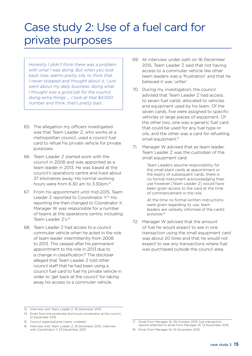# Case study 2: Use of a fuel card for private purposes

*Honestly I didn't think there was a problem with what I was doing. But when you look back now, seems pretty silly to think that. I never stopped and thought about it, I just went about my daily business, doing what I thought was a good job for the council, doing extra things … I look at that \$4,000 number and think, that's pretty bad …*

- 65. The allegation my officers investigated was that Team Leader Z, who works at a metropolitan council, used a council fuel card to refuel his private vehicle for private purposes.
- 66. Team Leader Z started work with the council in 2008 and was appointed as a team leader in 2013. He was based at the council's operations centre and lived about 37 kilometres away. His normal working hours were from 6.30 am to 3.30pm.<sup>13</sup>
- 67. From his appointment until mid-2015, Team Leader Z reported to Coordinator Y.<sup>14</sup> His reporting line then changed to Coordinator X. Manager W was responsible for a number of teams at the operations centre, including Team Leader Z's.15
- 68. Team Leader Z had access to a council commuter vehicle when he acted in the role of team leader intermittently from 2008 to 2013. This ceased after his permanent appointment to the role in 2013 due to a change in classification.<sup>16</sup> The discloser alleged that Team Leader Z told other council staff that he had been using a council fuel card to fuel his private vehicle in order to 'get back at the council' for taking away his access to a commuter vehicle.
- 69. At interview under oath on 16 December 2015, Team Leader Z said that not having access to a commuter vehicle like other team leaders was a 'frustration' and that he believed it was 'unfair'.
- 70. During my investigation, the council advised that Team Leader Z had access to seven fuel cards, allocated to vehicles and equipment used by his team. Of the seven cards, five were assigned to specific vehicles or large pieces of equipment. Of the other two, one was a generic fuel card that could be used for any fuel type or oils, and the other was a card for refuelling small equipment.<sup>17</sup>
- 71. Manager W advised that as team leader, Team Leader Z was the custodian of the small equipment card:

Team Leaders assume responsibility for the small plant cards at appointment or the expiry of subsequent cards, there is no formal instrument acknowledging their use however [Team Leader Z] would have been given access to the card at the time of commencement in the role.

At the time no formal written instructions were given regarding its use, team leaders are verbally informed of the card's purpose.18

72. Manager W advised that the amount of fuel he would expect to see in one transaction using the small equipment card was about 20 litres and that he would not expect to see any transactions where fuel was purchased outside the council area.

<sup>13</sup> Interview with Team Leader Z, 16 December 2015

<sup>14</sup> Email from the protected disclosure coordinator at the council, 21 December 2015

<sup>15</sup> Council organisational charts, undated

<sup>16</sup> Interview with Team Leader Z, 16 December 2015; interview with Coordinator Y, 23 December 2015

Email from Manager W, 29 October 2015; fuel transaction reports attached to email from Manager W, 13 November 2015

<sup>18</sup> Email from Manager W, 16 November 2015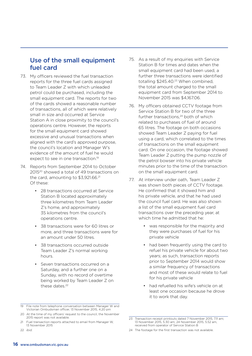### Use of the small equipment fuel card

- 73. My officers reviewed the fuel transaction reports for the three fuel cards assigned to Team Leader Z with which unleaded petrol could be purchased, including the small equipment card. The reports for two of the cards showed a reasonable number of transactions, all of which were relatively small in size and occurred at Service Station A in close proximity to the council's operations centre. However, the reports for the small equipment card showed excessive and unusual transactions when aligned with the card's approved purpose, the council's location and Manager W's evidence of the amount of fuel he would expect to see in one transaction.<sup>19</sup>
- 74. Reports from September 2014 to October 2015<sup>20</sup> showed a total of 49 transactions on the card, amounting to \$3,921.66.<sup>21</sup> Of these:
	- • 28 transactions occurred at Service Station B located approximately three kilometres from Team Leader Z's home, and approximately 35 kilometres from the council's operations centre.
	- • 38 transactions were for 60 litres or more, and three transactions were for an amount under 50 litres.
	- 58 transactions occurred outside Team Leader Z's normal working hours.
	- Seven transactions occurred on a Saturday, and a further one on a Sunday, with no record of overtime being worked by Team Leader Z on these dates.<sup>22</sup>

22 *ibid*.

- 75. As a result of my enquiries with Service Station B for times and dates when the small equipment card had been used, a further three transactions were identified totalling \$245.40.<sup>23</sup> When combined, the total amount charged to the small equipment card from September 2014 to November 2015 was \$4,167.06.
- 76. My officers obtained CCTV footage from Service Station B for two of the three further transactions.<sup>24</sup> both of which related to purchases of fuel of around 65 litres. The footage on both occasions showed Team Leader Z paying for fuel using a card, which correlated to the times of transactions on the small equipment card. On one occasion, the footage showed Team Leader Z putting the pump nozzle of the petrol bowser into his private vehicle minutes prior to the time of the transaction on the small equipment card.
- 77. At interview under oath, Team Leader Z was shown both pieces of CCTV footage. He confirmed that it showed him and his private vehicle, and that he had used the council fuel card. He was also shown a list of the small equipment fuel card transactions over the preceding year, at which time he admitted that he:
	- • was responsible for the majority and they were purchases of fuel for his private vehicle
	- had been frequently using the card to refuel his private vehicle for about two years; as such, transaction reports prior to September 2014 would show a similar frequency of transactions and most of these would relate to fuel for his private vehicle
	- had refuelled his wife's vehicle on at least one occasion because he drove it to work that day.

<sup>19</sup> File note from telephone conversation between Manager W and Victorian Ombudsman officer, 13 November 2015, 4.20 pm

<sup>20</sup> At the time of my officers' request to the council, the November 2015 report was not available.

<sup>21</sup> Fuel transaction reports attached to email from Manager W 13 November 2015

<sup>23</sup> Transaction receipt printouts dated 7 November 2015, 7.11 am; 13 November 2015, 5.30 am; 24 November 2015, 5.52 am, received from operator of Service Station B

<sup>24</sup> The footage for the first transaction was not available.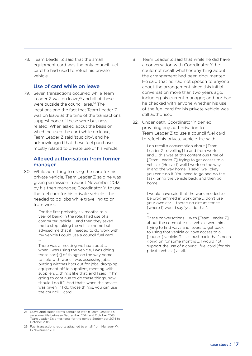78. Team Leader Z said that the small equipment card was the only council fuel card he had used to refuel his private vehicle.

#### Use of card while on leave

79. Seven transactions occurred while Team Leader Z was on leave,25 and all of these were outside the council area.<sup>26</sup> The locations and the fact that Team Leader Z was on leave at the time of the transactions suggest none of these were businessrelated. When asked about the basis on which he used the card while on leave, Team Leader Z said 'stupidity', and he acknowledged that these fuel purchases mostly related to private use of his vehicle.

#### Alleged authorisation from former manager

80. While admitting to using the card for his private vehicle, Team Leader Z said he was given permission in about November 2013 by his then manager, Coordinator Y, to use the fuel card for his private vehicle if he needed to do jobs while travelling to or from work:

> For the first probably six months to a year of being in the role, I had use of a commuter vehicle … and then they asked me to stop taking the vehicle home but advised me that if I needed to do work with my vehicle I could use a council fuel card. …

There was a meeting we had about … when I was using the vehicle, I was doing these sort[s] of things on the way home to help with work, I was assessing jobs, putting witches hats out for jobs, dropping equipment off to suppliers, meeting with suppliers ... things like that, and I said 'If I'm going to continue to do these things, how should I do it?' And that's when the advice was given. If I do those things, you can use the council … card.

- 81. Team Leader 7 said that while he did have a conversation with Coordinator Y, he could not recall whether anything about the arrangement had been documented. He said that he had not spoken to anyone about the arrangement since this initial conversation more than two years ago, including his current manager; and nor had he checked with anyone whether his use of the fuel card for his private vehicle was still authorised.
- 82. Under oath, Coordinator Y denied providing any authorisation to Team Leader Z to use a council fuel card to refuel his private vehicle. He said:

I do recall a conversation about [Team Leader Z travelling] to and from work and … this was at this contentious time of [Team Leader Z] trying to get access to a vehicle. [He said] well I work on the way in and the way home. [I said] well okay you can't do it. You need to go and do the task, bring the vehicle back, and then go home. …

I would have said that the work needed to be programmed in work time … don't use your own car … there's no circumstance … [where I] would say 'yes do that'.

…

These conversations … with [Team Leader Z] about the commuter use vehicle were him trying to find ways and levers to get back to using that vehicle or have access to a [council] vehicle. This is pushback that's been going on for some months … I would not support the use of a council fuel card [for his private vehicle] at all.

<sup>25</sup> Leave application forms contained within Team Leader Z's personnel file between September 2014 and October 2015; Team Leader Z's timesheets for the period September 2014 to October 2015

<sup>26</sup> Fuel transactions reports attached to email from Manager W, 13 November 2015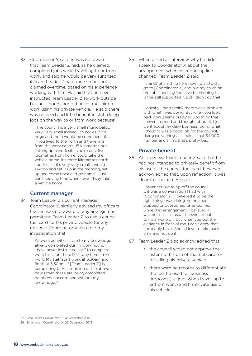83. Coordinator Y said he was not aware that Team Leader Z had, as he claimed, completed jobs while travelling to or from work, and said he would be very surprised if Team Leader Z had done so but not claimed overtime, based on his experience working with him. He said that he never instructed Team Leader Z to work outside business hours, nor did he instruct him to work using his private vehicle. He said there was no need and little benefit in staff doing jobs on the way to or from work because:

> [The council] is a very small municipality, very, very small indeed. It's not as if it's huge and there would be some benefit … if you lived to the north and travelling from the work centre, 15 kilometres out, setting up a work site, you're only five kilometres from home, you'd take the vehicle home. It's three kilometres north south east, it's very very small. I would say 'go and set it up in the morning, set up and come back and go home'. I just can't see any time when I would say take a vehicle home.

#### Current manager

84. Team Leader Z's current manager, Coordinator X, similarly advised my officers that he was not aware of any arrangement permitting Team Leader Z to use a council fuel card for his private vehicle for any reason.27 Coordinator X also told my investigation that:

> All work activities … are to my knowledge always completed during work hours. I have never instructed staff to complete work tasks on there [*sic*] way home from work. My staff start work at 6:30am and finish at 3:30pm. If [Team Leader Z] is completing tasks … outside of the above hours then these are being completed on his own accord and without my knowledge.<sup>28</sup>

85. When asked at interview why he didn't speak to Coordinator X about the arrangement when his reporting line changed, Team Leader Z said:

> In hindsight, sitting here now I wish I did … go to [Coordinator X] and put my cards on the table and say 'look I've been doing this, is this still supported?'. But I didn't do that. …

> Honestly I didn't think there was a problem with what I was doing. But when you look back now, seems pretty silly to think that. I never stopped and thought about it, I just went about my daily business, doing what I thought was a good job for the council, doing extra things … I look at that \$4,000 number and think, that's pretty bad.

#### Private benefit

86. At interview, Team Leader Z said that he had not intended to privately benefit from his use of the council fuel card, however, acknowledged that, upon reflection, it was clear that he had. He said:

> I never set out to rip off the council … it was a conversation I had with [Coordinator Y]. I believed it to be the right thing I was doing, no one had stopped or questioned or asked me. Since that arrangement, I believed it was business as usual. I never set out to rip anyone off, but when you put the evidence in front of me, I can't deny that I probably have. And I'd love to take back time and not do it.

- 87. Team Leader Z also acknowledged that:
	- the council would not approve the extent of his use of the fuel card for refuelling his private vehicle
	- • there were no records to differentiate the fuel he used for business purposes (i.e. jobs when travelling to or from work) and his private use of his vehicle

27 Email from Coordinator X, 4 December 2015

28 Email from Coordinator X, 23 December 2015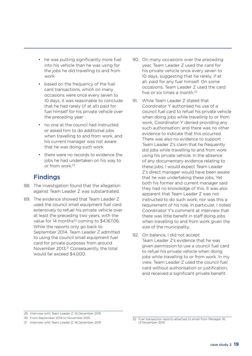- he was putting significantly more fuel into his vehicle than he was using for the jobs he did travelling to and from work
- based on the frequency of the fuel card transactions, which on many occasions were once every seven to 10 days, it was reasonable to conclude that he had rarely (if at all) paid for fuel himself for his private vehicle over the preceding year
- no one at the council had instructed or asked him to do additional jobs when travelling to and from work, and his current manager was not aware that he was doing such work
- there were no records to evidence the jobs he had undertaken on his way to or from work.29

# Findings

- 88. The investigation found that the allegation against Team Leader Z was substantiated.
- 89. The evidence showed that Team Leader Z used the council small equipment fuel card extensively to refuel his private vehicle over at least the preceding two years, with the value for 14 months<sup>30</sup> coming to \$4,167.06. While the reports only go back to September 2014, Team Leader Z admitted to using the council small equipment fuel card for private purposes from around November 2013.<sup>31</sup> Consequently, the total would far exceed \$4,000.
- 90. On many occasions over the preceding year, Team Leader Z used the card for his private vehicle once every seven to 10 days, suggesting that he rarely, if at all, paid for any fuel himself. On some occasions, Team Leader Z used the card five or six times a month.<sup>32</sup>
- 91. While Team Leader Z stated that Coordinator Y authorised his use of a council fuel card to refuel his private vehicle when doing jobs while travelling to or from work, Coordinator Y denied providing any such authorisation; and there was no other evidence to indicate that this occurred. There was also no evidence to support Team Leader Z's claim that he frequently did jobs while travelling to and from work using his private vehicle. In the absence of any documentary evidence relating to these jobs, I would expect Team Leader Z's direct manager would have been aware that he was undertaking these jobs. Yet both his former and current manager said they had no knowledge of this. It was also apparent that Team Leader Z was not instructed to do such work, nor was this a requirement of his role. In particular, I noted Coordinator Y's comment at interview that there was little benefit in staff doing jobs when travelling to and from work given the size of the municipality.
- 92. On balance, I did not accept Team Leader Z's evidence that he was given permission to use a council fuel card to refuel his private vehicle when doing jobs while travelling to or from work. In my view, Team Leader Z used the council fuel card without authorisation or justification, and received a significant private benefit.

29 Interview with Team Leader Z, 16 December 2015

30 From September 2014 to November 2015

31 Interview with Team Leader Z, 16 December 2015

<sup>32</sup> Fuel transaction reports attached to email from Manager W, 13 November 2015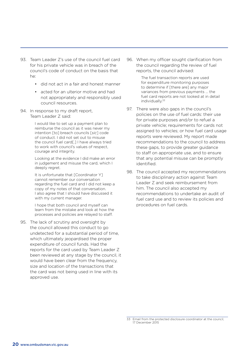- 93. Team Leader Z's use of the council fuel card for his private vehicle was in breach of the council's code of conduct on the basis that he:
	- did not act in a fair and honest manner
	- • acted for an ulterior motive and had not appropriately and responsibly used council resources.
- 94. In response to my draft report, Team Leader Z said:

I would like to set up a payment plan to reimburse the council as it was never my intention [to] breach councils [*sic*] code of conduct. I did not set out to misuse the council fuel card[.] I have always tried to work with council's values of respect, courage and integrity.

Looking at the evidence I did make an error in judgement and misuse the card, which I deeply regret.

It is unfortunate that [Coordinator Y] cannot remember our conversation regarding the fuel card and I did not keep a copy of my notes of that conversation. I also agree that I should have discussed it with my current manager.

I hope that both council and myself can learn from the mistake and look at how the processes and policies are relayed to staff.

95. The lack of scrutiny and oversight by the council allowed this conduct to go undetected for a substantial period of time, which ultimately jeopardised the proper expenditure of council funds. Had the reports for the card used by Team Leader Z been reviewed at any stage by the council, it would have been clear from the frequency, size and location of the transactions that the card was not being used in line with its approved use.

96. When my officer sought clarification from the council regarding the review of fuel reports, the council advised:

> The fuel transaction reports are used for expenditure monitoring purposes to determine if [there are] any major variances from previous payments … the fuel card reports are not looked at in detail individually.33

- 97. There were also gaps in the council's policies on the use of fuel cards: their use for private purposes and/or to refuel a private vehicle; requirements for cards not assigned to vehicles; or how fuel card usage reports were reviewed. My report made recommendations to the council to address these gaps, to provide greater guidance to staff on appropriate use, and to ensure that any potential misuse can be promptly identified.
- 98. The council accepted my recommendations to take disciplinary action against Team Leader Z and seek reimbursement from him. The council also accepted my recommendations to undertake an audit of fuel card use and to review its policies and procedures on fuel cards.

<sup>33</sup> Email from the protected disclosure coordinator at the council, 17 December 2015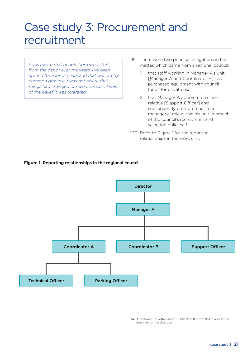# Case study 3: Procurement and recruitment

*I was aware that people borrowed stuff from the depot over the years. I've been around for a lot of years and that was pretty common practice. I was not aware that things had changed of recent times … I was of the belief it was tolerated.*

- 99. There were two principal allegations in this matter, which came from a regional council:
	- 1. that staff working in Manager A's unit [Manager A and Coordinator A] had purchased equipment with council funds for private use
	- 2. that Manager A appointed a close relative [Support Officer] and subsequently promoted her to a managerial role within his unit in breach of the council's recruitment and selection policies.<sup>34</sup>
- 100. Refer to Figure 1 for the reporting relationships in the work unit.





<sup>34</sup> Attachment to letter dated 16 March 2015 from IBAC; and at the interview of the discloser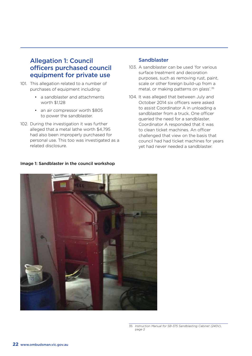### Allegation 1: Council officers purchased council equipment for private use

- 101. This allegation related to a number of purchases of equipment including:
	- • a sandblaster and attachments worth \$1,128
	- an air compressor worth \$805 to power the sandblaster.
- 102. During the investigation it was further alleged that a metal lathe worth \$4,795 had also been improperly purchased for personal use. This too was investigated as a related disclosure.

#### Sandblaster

- 103. A sandblaster can be used 'for various surface treatment and decoration purposes, such as removing rust, paint, scale or other foreign build-up from a metal, or making patterns on glass'.35
- 104. It was alleged that between July and October 2014 six officers were asked to assist Coordinator A in unloading a sandblaster from a truck. One officer queried the need for a sandblaster. Coordinator A responded that it was to clean ticket machines. An officer challenged that view on the basis that council had had ticket machines for years yet had never needed a sandblaster.



#### Image 1: Sandblaster in the council workshop

<sup>35</sup> *Instruction Manual for SB-375 Sandblasting Cabinet (240V)*, page 2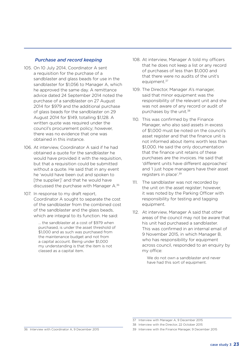#### *Purchase and record keeping*

- 105. On 10 July 2014, Coordinator A sent a requisition for the purchase of a sandblaster and glass beads for use in the sandblaster for \$1,056 to Manager A, which he approved the same day. A remittance advice dated 24 September 2014 noted the purchase of a sandblaster on 27 August 2014 for \$979 and the additional purchase of glass beads for the sandblaster on 29 August 2014 for \$149, totalling \$1,128. A written quote was required under the council's procurement policy; however, there was no evidence that one was obtained in this instance.
- 106. At interview, Coordinator A said if he had obtained a quote for the sandblaster he would have provided it with the requisition, but that a requisition could be submitted without a quote. He said that in any event he 'would have been out and spoken to [the supplier]' and that he would have discussed the purchase with Manager A.36
- 107. In response to my draft report, Coordinator A sought to separate the cost of the sandblaster from the combined cost of the sandblaster and the glass beads, which are integral to its function. He said:

... the sandblaster at a cost of \$979 when purchased, is under the asset threshold of \$1,000 and as such was purchased from the maintenance budget and not from a capital account. Being under \$1,000 my understanding is that the item is not classed as a capital item.

- 108. At interview, Manager A told my officers that he does not keep a list or any record of purchases of less than \$1,000 and that there were no audits of the unit's equipment.<sup>37</sup>
- 109. The Director, Manager A's manager, said that minor equipment was the responsibility of the relevant unit and she was not aware of any record or audit of purchases by the unit.<sup>38</sup>
- 110. This was confirmed by the Finance Manager, who also said assets in excess of \$1,000 must be noted on the council's asset register and that the finance unit is not informed about items worth less than \$1,000. He said the only documentation that the finance unit retains of these purchases are the invoices. He said that 'different units have different approaches' and 'I just hope managers have their asset registers in place'.39
- 111. The sandblaster was not recorded by the unit on the asset register; however, it was noted by the Parking Officer with responsibility for testing and tagging equipment.
- 112. At interview, Manager A said that other areas of the council may not be aware that his unit had purchased a sandblaster. This was confirmed in an internal email of 9 November 2015, in which Manager B, who has responsibility for equipment across council, responded to an enquiry by my office:

We do not own a sandblaster and never have had this sort of equipment.

36 Interview with Coordinator A, 9 December 2015

<sup>37</sup> Interview with Manager A, 9 December 2015

<sup>38</sup> Interview with the Director, 22 October 2015

<sup>39</sup> Interview with the Finance Manager, 9 December 2015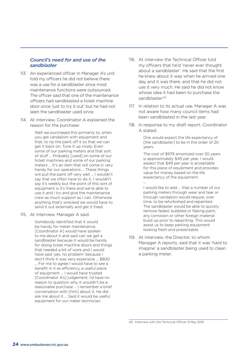#### *Council's need for and use of the sandblaster*

- 113. An experienced officer in Manager A's unit told my officers he did not believe there was a use for a sandblaster since most maintenance functions were outsourced. The officer said that one of the maintenance officers had sandblasted a ticket machine door once 'just to try it out' but he had not seen the sandblaster used since.
- 114. At interview, Coordinator A explained the reason for the purchase:

Well we purchased this primarily to, when you get vandalism with equipment and that, to rip the paint off it so that we can get it back on. Tune it up nicely. Even some of our parking meters and that sort of stuff ... Probably [used] on some of our ticket machines and some of our parking meters ... It's an item that will come in very handy for our operations ... These things will pull the paint off very well ... I wouldn't say that we often have to do it. I wouldn't say it's weekly but the point of this sort of equipment is it's there and we're able to use it and I try and give the maintenance crew as much support as I can. Otherwise anything that's wrecked we would have to send it out externally and get it fixed.

115. At interview, Manager A said:

Somebody identified that it would be handy for meter maintenance. [Coordinator A] would have spoken to me about it and said can we get a sandblaster because it would be handy for doing ticket machine doors and things that needed a bit of work and I would have said 'yes, no problem' because I don't think it was very expensive ... \$800 ... For me to agree I would have to see a benefit in it as efficiency, a useful piece of equipment ... I would have trusted [Coordinator A's] judgement. I'd have no reason to question why it wouldn't be a reasonable purchase ... I remember a brief conversation with [him] about it. He did ask me about it ... Said it would be useful equipment for our meter technician.

- 116. At interview the Technical Officer told my officers that he'd 'never ever thought about a sandblaster'. He said that the first he knew about it was when he arrived one day and it was there, and that he did not use it very much. He said he did not know whose idea it had been to purchase the sandblaster.<sup>40</sup>
- 117. In relation to its actual use, Manager A was not aware how many council items had been sandblasted in the last year.
- 118. In response to my draft report, Coordinator A stated:

One would expect the life expectancy of [the sandblaster] to be in the order of 20 years.

The cost of \$979 amortized over 20 years is approximately \$49 per year. I would expect that \$49 per year is acceptable for this piece of equipment and provides value for money based on the life expectancy of the equipment. ...

I would like to add ... that a number of our parking meters through wear and tear or through vandalism would require, over time, to be refurbished and repainted. The sandblaster would be able to quickly remove faded, bubbled or flaking paint, any corrosion or other foreign material build up prior to repainting. This would assist us to keep parking equipment looking fresh and presentable.

119. At interview, the Director, to whom Manager A reports, said that it was 'hard to imagine' a sandblaster being used to clean a parking meter.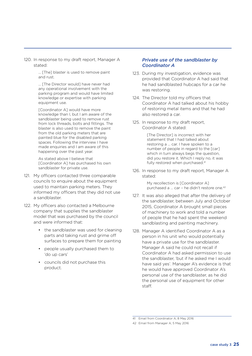120. In response to my draft report, Manager A stated:

> ... [The] blaster is used to remove paint and rust.

... [The Director would] have never had any operational involvement with the parking program and would have limited knowledge or expertise with parking equipment use.

[Coordinator A] would have more knowledge than I, but I am aware of the sandblaster being used to remove rust from lock threads, bolts and fittings. The blaster is also used to remove the paint from the old parking meters that are painted blue for the disabled parking spaces. Following the interview I have made enquiries and I am aware of this happening over the past year.

As stated above I believe that [Coordinator A] has purchased his own sandblaster for private use.

- 121. My officers contacted three comparable councils to enquire about the equipment used to maintain parking meters. They informed my officers that they did not use a sandblaster.
- 122. My officers also contacted a Melbourne company that supplies the sandblaster model that was purchased by the council and were informed that:
	- the sandblaster was used for cleaning parts and taking rust and grime off surfaces to prepare them for painting
	- • people usually purchased them to 'do up cars'
	- • councils did not purchase this product.

#### *Private use of the sandblaster by Coordinator A*

- 123. During my investigation, evidence was provided that Coordinator A had said that he had sandblasted hubcaps for a car he was restoring.
- 124. The Director told my officers that Coordinator A had talked about his hobby of restoring metal items and that he had also restored a car.
- 125. In response to my draft report, Coordinator A stated:

[The Director] is incorrect with her statement that I had talked about restoring a … car. I have spoken to a number of people in regard to the [car] which in turn always begs the question, did you restore it. Which I reply no, it was fully restored when purchased.<sup>41</sup>

126. In response to my draft report, Manager A stated:

> My recollection is [Coordinator A] purchased a ... car - he didn't restore one.<sup>42</sup>

- 127. It was also alleged that after the delivery of the sandblaster, between July and October 2015, Coordinator A brought small pieces of machinery to work and told a number of people that he had spent the weekend sandblasting and painting machinery.
- 128. Manager A identified Coordinator A as a person in his unit who would potentially have a private use for the sandblaster. Manager A said he could not recall if Coordinator A had asked permission to use the sandblaster, 'but if he asked me I would have said yes'. Manager A's evidence is that he would have approved Coordinator A's personal use of the sandblaster, as he did the personal use of equipment for other staff.

41 Email from Coordinator A, 8 May 2016

<sup>42</sup> Email from Manager A, 5 May 2016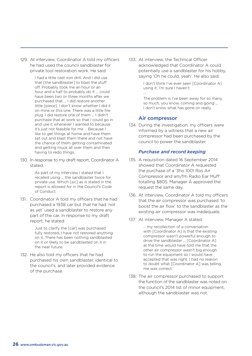129. At interview, Coordinator A told my officers he had used the council sandblaster for private tool restoration work. He said:

> I had a little cast iron drill. And I did use that [the sandblaster] to blast the stuff off. Probably took me an hour or an hour and a half to probably do it ... could have been two or three months after we purchased that ... I did restore another little [piece]. I don't know whether I did it on mine or this one. There was a little fire plug. I did restore one of them ... I didn't purchase that at work so that I could go in and use it whenever I wanted to because it's just not feasible for me ... Because I like to get things at home and have them set out and blast them there and not have the chance of them getting contaminated and getting muck all over them and then having to redo things.

130. In response to my draft report, Coordinator A stated:

> As part of my interview I stated that I recalled using … the sandblaster twice for private use. Which [*sic*] as is stated in the report is allowed for in the Council's Code of Conduct.

131. Coordinator A told my officers that he had purchased a 1938 car but that he had 'not as yet' used a sandblaster to restore any part of the car. In response to my draft report, he stated:

> Just to clarify the [car] was purchased fully restored, I have not restored anything on it. There has been nothing sandblasted on it or likely to be sandblasted on it in the near future.

132. He also told my officers that he had purchased his own sandblaster, identical to the council's, and later provided evidence of the purchase.

133. At interview, the Technical Officer acknowledged that Coordinator A could potentially use a sandblaster for his hobby, saying 'Oh he could, yeah'. He also said:

> I don't think I've ever seen [Coordinator A] using it. I'm sure I haven't. …

The problem is I've been away for so many, so much, you know, coming and going … I don't know what has gone on really.

#### Air compressor

134. During the investigation, my officers were informed by a witness that a new air compressor had been purchased by the council to power the sandblaster.

#### *Purchase and record keeping*

- 135. A requisition dated 16 September 2014 showed that Coordinator A requested the purchase of a '3ho 1001 Ros Air Compressor and am/fm Radio Ear Muff' totalling \$805. Manager A approved the request the same day.
- 136. At interview, Coordinator A told my officers that the air compressor was purchased 'to boost the air flow' to the sandblaster as the existing air compressor was inadequate.
- 137. At interview, Manager A stated:

... my recollection of a conversation with [Coordinator A] is that the existing compressor wasn't powerful enough to drive the sandblaster ... [Coordinator A] at the time would have told me that the other air compressor wasn't big enough to run the equipment so I would have accepted that was right. I had no reason to doubt what [Coordinator A] was telling me was correct.

138. The air compressor purchased to support the function of the sandblaster was noted on the council's 2014 list of minor equipment, although the sandblaster was not.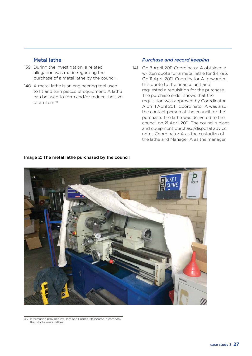#### Metal lathe

- 139. During the investigation, a related allegation was made regarding the purchase of a metal lathe by the council.
- 140. A metal lathe is an engineering tool used to fit and turn pieces of equipment. A lathe can be used to form and/or reduce the size of an item.43

#### *Purchase and record keeping*

141. On 8 April 2011 Coordinator A obtained a written quote for a metal lathe for \$4,795. On 11 April 2011, Coordinator A forwarded this quote to the finance unit and requested a requisition for the purchase. The purchase order shows that the requisition was approved by Coordinator A on 11 April 2011. Coordinator A was also the contact person at the council for the purchase. The lathe was delivered to the council on 21 April 2011. The council's plant and equipment purchase/disposal advice notes Coordinator A as the custodian of the lathe and Manager A as the manager.



#### Image 2: The metal lathe purchased by the council

43 Information provided by Hare and Forbes, Melbourne, a company that stocks metal lathes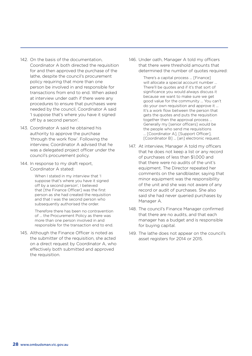- 142. On the basis of the documentation, Coordinator A both directed the requisition for and then approved the purchase of the lathe, despite the council's procurement policy requiring that more than one person be involved in and responsible for transactions from end to end. When asked at interview under oath if there were any procedures to ensure that purchases were needed by the council, Coordinator A said 'I suppose that's where you have it signed off by a second person'.
- 143. Coordinator A said he obtained his authority to approve the purchase 'through the work flow'. Following the interview, Coordinator A advised that he was a delegated project officer under the council's procurement policy.
- 144. In response to my draft report, Coordinator A stated:

When I stated in my interview that 'I suppose that's where you have it signed off by a second person', I believed that [the Finance Officer] was the first person as she had created the requisition and that I was the second person who subsequently authorised the order.

Therefore there has been no contravention of … the Procurement Policy as there was more than one person involved in and responsible for the transaction end to end.

145. Although the Finance Officer is noted as the submitter of the requisition, she acted on a direct request by Coordinator A, who effectively both submitted and approved the requisition.

146. Under oath, Manager A told my officers that there were threshold amounts that determined the number of quotes required:

There's a capital process ... [Finance] will allocate a special account number ... There'll be quotes and if it's that sort of significance you would always discuss it because we want to make sure we get good value for the community ... You can't do your own requisition and approve it ... It's a work flow between the person that gets the quotes and puts the requisition together then the approval process ... Generally my [senior officers] would be the people who send me requisitions ... [Coordinator A], [Support Officer], [Coordinator B] ... [an] electronic request.

- 147. At interview, Manager A told my officers that he does not keep a list or any record of purchases of less than \$1,000 and that there were no audits of the unit's equipment. The Director repeated her comments on the sandblaster, saying that minor equipment was the responsibility of the unit and she was not aware of any record or audit of purchases. She also said she had never queried purchases by Manager A.
- 148. The council's Finance Manager confirmed that there are no audits, and that each manager has a budget and is responsible for buying capital.
- 149. The lathe does not appear on the council's asset registers for 2014 or 2015.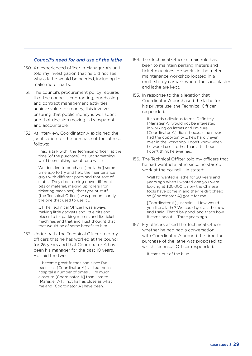#### *Council's need for and use of the lathe*

- 150. An experienced officer in Manager A's unit told my investigation that he did not see why a lathe would be needed, including to make meter parts.
- 151. The council's procurement policy requires that the council's contracting, purchasing and contract management activities achieve value for money; this involves ensuring that public money is well spent and that decision making is transparent and accountable.
- 152. At interview, Coordinator A explained the justification for the purchase of the lathe as follows:

I had a talk with [the Technical Officer] at the time [of the purchase]. It's just something we'd been talking about for a while ...

We decided to purchase [the lathe] some time ago to try and help the maintenance guys with different parts and that sort of stuff ... They'd be turning down different bits of material, making up rollers [for ticketing machines], that type of stuff ... [the Technical Officer] was predominantly the one that used to use it ...

… [The Technical Officer] was always making little gadgets and little bits and pieces to fix parking meters and fix ticket machines and that and I just thought that that would be of some benefit to him.

153. Under oath, the Technical Officer told my officers that he has worked at the council for 26 years and that Coordinator A has been his manager for the past 10 years. He said the two:

> … became great friends and since I've been sick [Coordinator A] visited me in hospital a number of times … I'm much closer to [Coordinator A] than I am to [Manager A] … not half as close as what me and [Coordinator A] have been.

- 154. The Technical Officer's main role has been to maintain parking meters and ticket machines. He works in the meter maintenance workshop located in a multi-storey carpark where the sandblaster and lathe are kept.
- 155. In response to the allegation that Coordinator A purchased the lathe for his private use, the Technical Officer responded:

It sounds ridiculous to me. Definitely [Manager A] would not be interested in working on lathes and I'm sure [Coordinator A] didn't because he never had the opportunity … he's hardly ever over in the workshop. I don't know when he would use it other than after hours. I don't think he ever has.

156. The Technical Officer told my officers that he had wanted a lathe since he started work at the council. He stated:

> Well I'd wanted a lathe for 20 years and years ago when I wanted one you were looking at \$20,000 … now the Chinese tools have come in and they're dirt cheap so [Coordinator A] got it for me.

[Coordinator A] just said … 'How would you like a lathe? We could get a lathe now' and I said 'That'd be good' and that's how it came about … Three years ago.

157. My officers asked the Technical Officer whether he had had a conversation with Coordinator A around the time the purchase of the lathe was proposed, to which Technical Officer responded:

It came out of the blue.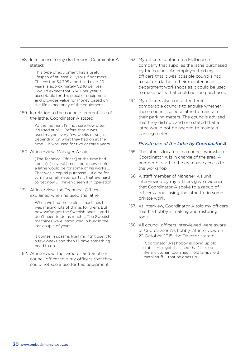158. In response to my draft report, Coordinator A stated:

> This type of equipment has a useful lifespan of at least 20 years if not more. The cost of \$4,795 amortized over 20 years is approximately \$240 per year. I would expect that \$240 per year is acceptable for this piece of equipment and provides value for money based on the life expectancy of the equipment.

159. In relation to the council's current use of the lathe, Coordinator A stated:

> At the moment I'm not sure how often it's used at all ... Before that it was used maybe every few weeks or so just depending on what they had on at the time ... It was used for two or three years.

160. At interview, Manager A said:

[The Technical Officer] at the time had spoke[n] several times about how useful a lathe would be for some of his works ... That was a capital purchase ... It'd be for turning small meter parts ... that are hard to get now ... I haven't seen it in operation.

161. At interview, the Technical Officer explained when he used the lathe:

> When we had those old … machines I was making lots of things for them. But now we've got the Swedish ones … and I don't need to do as much … The Swedish machines were introduced in bulk in the last couple of years.

… It comes in spasms like I mightn't use it for a few weeks and then I'll have something I

need to do.

162. At interview, the Director and another council officer told my officers that they could not see a use for this equipment.

- 163. My officers contacted a Melbourne company that supplies the lathe purchased by the council. An employee told my officers that it was possible councils had a use for a lathe in their maintenance department workshops as it could be used to make parts that could not be purchased.
- 164. My officers also contacted three comparable councils to enquire whether these councils used a lathe to maintain their parking meters. The councils advised that they did not, and one stated that a lathe would not be needed to maintain parking meters.

#### *Private use of the lathe by Coordinator A*

- 165. The lathe is located in a council workshop. Coordinator A is in charge of the area. A number of staff in the area have access to the workshop.
- 166. A staff member of Manager A's unit interviewed by my officers gave evidence that Coordinator A spoke to a group of officers about using the lathe to do some private work.
- 167. At interview, Coordinator A told my officers that his hobby is making and restoring tools.
- 168. All council officers interviewed were aware of Coordinator A's hobby. At interview on 22 October 2015, the Director stated:

[Coordinator A's] hobby is doing up old stuff ... He's got this shed that's set up like a Victorian tool shed ... old lamps, old metal stuff ... that he does up.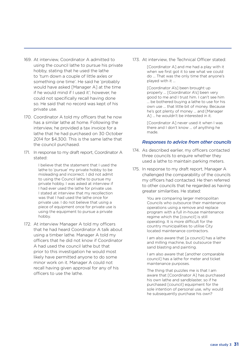- 169. At interview, Coordinator A admitted to using the council lathe to pursue his private hobby, stating that he used the lathe to 'turn down a couple of little axles or something one time'. He said he 'probably would have asked [Manager A] at the time if he would mind if I used it'; however, he could not specifically recall having done so. He said that no record was kept of his private use.
- 170. Coordinator A told my officers that he now has a similar lathe at home. Following the interview, he provided a tax invoice for a lathe that he had purchased on 30 October 2014 for \$4,300. This is the same lathe that the council purchased.
- 171. In response to my draft report, Coordinator A stated:

I believe that the statement that I used the lathe to 'pursue' my private hobby to be misleading and incorrect. I did not admit to using the Council lathe to pursue my private hobby. I was asked at interview if I had ever used the lathe for private use. I stated at interview that my recollection was that I had used the lathe once for private use. I do not believe that using a piece of equipment once for private use is using the equipment to pursue a private hobby.

172. At interview Manager A told my officers that he had heard Coordinator A talk about using a timber lathe. Manager A told my officers that he did not know if Coordinator A had used the council lathe but that prior to this investigation he would most likely have permitted anyone to do some minor work on it. Manager A could not recall having given approval for any of his officers to use the lathe.

173. At interview, the Technical Officer stated:

[Coordinator A] and me had a play with it when we first got it to see what we could do … That was the only time that anyone's played with it …

[Coordinator A's] been brought up properly … [Coordinator A's] been very good to me and I trust him. I can't see him … be bothered buying a lathe to use for his own use … that little bit of money. Because he's got plenty of money … and [Manager A] … he wouldn't be interested in it.

[Coordinator A] never used it when I was there and I don't know … of anything he made.

#### *Responses to advice from other councils*

- 174. As described earlier, my officers contacted three councils to enquire whether they used a lathe to maintain parking meters.
- 175. In response to my draft report, Manager A challenged the comparability of the councils my officers had contacted. He then referred to other councils that he regarded as having greater similarities. He stated:

You are comparing larger metropolitan Councils who outsource their maintenance operations using a remove and replace program with a full in-house maintenance regime which the [council] is still operating. It is more difficult for the country municipalities to utilise City located maintenance contractors.

I am also aware that [a council] has a lathe and milling machine, but outsource their sand blasting and painting.

I am also aware that [another comparable council] has a lathe for meter and ticket maintenance purposes.

The thing that puzzles me is that I am aware that [Coordinator A] has purchased his own lathe and sandblaster, so if he purchased [council] equipment for the sole intention of personal use, why would he subsequently purchase his own?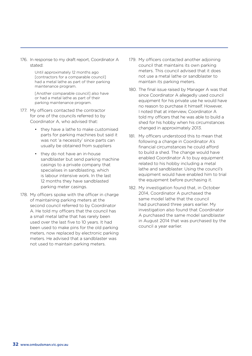176. In response to my draft report, Coordinator A stated:

> Until approximately 12 months ago [contractors for a comparable council] had a metal lathe as part of their parking maintenance program.

[Another comparable council] also have or had a metal lathe as part of their parking maintenance program.

- 177. My officers contacted the contractor for one of the councils referred to by Coordinator A, who advised that:
	- they have a lathe to make customised parts for parking machines but said it was not 'a necessity' since parts can usually be obtained from suppliers
	- they do not have an in-house sandblaster but send parking machine casings to a private company that specialises in sandblasting, which is labour intensive work. In the last 12 months they have sandblasted parking meter casings.
- 178. My officers spoke with the officer in charge of maintaining parking meters at the second council referred to by Coordinator A. He told my officers that the council has a small metal lathe that has rarely been used over the last five to 10 years. It had been used to make pins for the old parking meters, now replaced by electronic parking meters. He advised that a sandblaster was not used to maintain parking meters.
- 179. My officers contacted another adjoining council that maintains its own parking meters. This council advised that it does not use a metal lathe or sandblaster to maintain its parking meters.
- 180. The final issue raised by Manager A was that since Coordinator A allegedly used council equipment for his private use he would have no reason to purchase it himself. However, I noted that at interview, Coordinator A told my officers that he was able to build a shed for his hobby when his circumstances changed in approximately 2013.
- 181. My officers understood this to mean that following a change in Coordinator A's financial circumstances he could afford to build a shed. The change would have enabled Coordinator A to buy equipment related to his hobby including a metal lathe and sandblaster. Using the council's equipment would have enabled him to trial the equipment before purchasing it.
- 182. My investigation found that, in October 2014, Coordinator A purchased the same model lathe that the council had purchased three years earlier. My investigation also found that Coordinator A purchased the same model sandblaster in August 2014 that was purchased by the council a year earlier.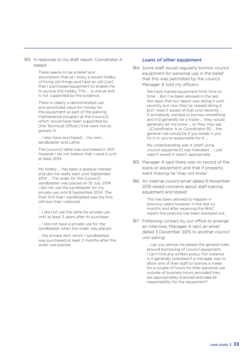#### 183. In response to my draft report, Coordinator A stated:

There seems to be a belief and assumption that as I enjoy a recent hobby of fixing old things and have an old [car] that I purchased equipment to enable me to pursue this hobby. This ... is untrue and is not supported by the evidence.

There is clearly a demonstrated use and amortized value for money for the equipment as part of the parking maintenance program at the [council], which would have been supported by [the Technical Officer] if he were not so gravely ill.

... I also have purchased ... my own ... sandblaster and Lathe.

The [council] lathe was purchased in 2011. however I do not believe that I used it until at least 2014.

...

...

My hobby ... has been a gradual interest and did not really start until September 2014 ... The order for the [council] sandblaster was placed on 10 July 2014. I did not use the sandblaster for my private use until 8 September 2014. The Post Drill that I sandblasted was the first old tool that I restored.

... I did not use the lathe for private use until at least 3 years after its purchase.

... I did not have a private use for the sandblaster when the order was placed.

... the private item which I sandblasted was purchased at least 2 months after the order was placed.

#### *Loans of other equipment*

184. Some staff would regularly borrow council equipment for personal use in the belief that this was permitted by the council. Manager A told my officers:

> We have loaned equipment from time to time ... But I've been advised in the last few days that our depot was doing it until recently but now they've ceased doing it but I wasn't aware of that until recently ... If somebody wanted to borrow something and it'd generally be a trailer ... they would generally let me know ... or they may ask ...[Coordinator A or Coordinator B] ... the general rule would be if you break it you fix it or you're responsible for it ...

My understanding was it [staff using council equipment] was tolerated ... I just wasn't aware it wasn't appropriate.

- 185. Manager A said there was no record of the loans of equipment and that if property went missing he 'may not know'.
- 186. An internal council email dated 9 November 2015 raised concerns about staff loaning equipment and stated:

This has been allowed to happen in previous years however in the last six months and after receiving the IBAC report this practice has been stamped out.

187. Following contact by our office to arrange an interview, Manager A sent an email dated 3 December 2015 to another council unit asking:

> … can you advise me please the general rules around borrowing of Council equipment. I can't find any written policy. For instance is it generally tolerated if a manager was to allow one of their staff to borrow a trailer for a couple of hours for their personal use outside of business hours provided they are appropriately licenced and take all responsibility for the equipment?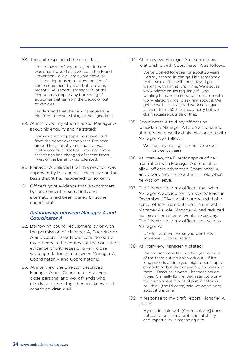188. The unit responded the next day:

I'm not aware of any policy but if there was one, it would be covered in the Fraud Prevention Policy. I am aware however, that the depot used to allow the hire of some equipment by staff but following a recent IBAC report, [Manager B] at the Depot has stopped any borrowing of equipment either from the Depot or out of vehicles.

I understand that the depot [required] a hire form to ensure things were signed out.

189. At interview, my officers asked Manager A about his enquiry and he stated:

> I was aware that people borrowed stuff from the depot over the years. I've been around for a lot of years and that was pretty common practice. I was not aware that things had changed of recent times ... I was of the belief it was tolerated.

- 190. Manager A believed that this practice was approved by the council's executive on the basis that 'it has happened for so long'.
- 191. Officers gave evidence that jackhammers, trailers, cement mixers, drills and alternators had been loaned by some council staff.

#### *Relationship between Manager A and Coordinator A*

- 192. Borrowing council equipment by or with the permission of Manager A, Coordinator A and Coordinator B was considered by my officers in the context of the consistent evidence of witnesses of a very close working relationship between Manager A, Coordinator A and Coordinator B.
- 193. At interview, the Director described Manager A and Coordinator A as very close personal and work friends who clearly socialised together and knew each other's children well.

194. At interview, Manager A described his relationship with Coordinator A as follows:

> We've worked together for about 25 years. He's my second-in-charge. He's somebody that I have coffee with most days. I go walking with him at lunchtime. We discuss work-related issues regularly. If I was wanting to make an important decision with work-related things I'd ask him about it. We get on well ... He's a good work colleague ... I went to his 50th birthday party but we don't socialise outside of that.

195. Coordinator A told my officers he considered Manager A to be a friend and at interview described his relationship with Manager A as follows:

> Well he's my manager ... And I've known him for twenty years.

- 196. At interview, the Director spoke of her frustration with Manager A's refusal to allow officers other than Coordinator A and Coordinator B to act in his role when he was on leave.
- 197. The Director told my officers that when Manager A applied for five weeks' leave in December 2014 and she proposed that a senior officer from outside the unit act in Manager A's role, Manager A had reduced his leave from several weeks to six days. The Director told my officers she said to Manager A:

... [Y]ou've done this so you won't have someone [outside] acting.

198. At interview, Manager A stated:

We had someone teed up last year outside of the team but it didn't work out ... If it's long periods of time you might open it up to competition but that's generally six weeks or more ... Because it was a Christmas period it wasn't a really long enough stint to worry too much about it, a lot of public holidays ... so I think [the Director] said we won't worry about it this time.

199. In response to my draft report, Manager A stated:

> My relationship with [Coordinator A] does not compromise my professional ability and impartiality in managing him.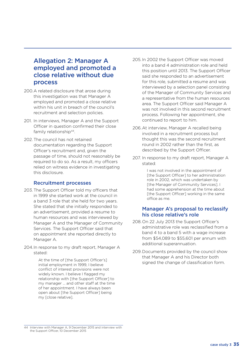### Allegation 2: Manager A employed and promoted a close relative without due process

- 200.A related disclosure that arose during this investigation was that Manager A employed and promoted a close relative within his unit in breach of the council's recruitment and selection policies.
- 201. In interviews, Manager A and the Support Officer in question confirmed their close family relationship<sup>44</sup>.
- 202. The council has not retained documentation regarding the Support Officer's recruitment and, given the passage of time, should not reasonably be required to do so. As a result, my officers relied on witness evidence in investigating this disclosure.

#### Recruitment processes

- 203.The Support Officer told my officers that in 1999 she started work at the council in a band 3 role that she held for two years. She stated that she initially responded to an advertisement, provided a resume to human resources and was interviewed by Manager A and the Manager of Community Services. The Support Officer said that on appointment she reported directly to Manager A.
- 204.In response to my draft report, Manager A stated:

At the time of [the Support Officer's] initial employment in 1999, I believe conflict of interest provisions were not widely known. I believe I flagged my relationship with [the Support Officer] to my manager … and other staff at the time of her appointment. I have always been open about [the Support Officer] being my [close relative].

- 205. In 2002 the Support Officer was moved into a band 4 administration role and held this position until 2013. The Support Officer said she responded to an advertisement for this role, submitted a resume and was interviewed by a selection panel consisting of the Manager of Community Services and a representative from the human resources area. The Support Officer said Manager A was not involved in this second recruitment process. Following her appointment, she continued to report to him.
- 206.At interview, Manager A recalled being involved in a recruitment process but thought this was the second recruitment round in 2002 rather than the first, as described by the Support Officer.
- 207. In response to my draft report, Manager A stated:

I was not involved in the appointment of [the Support Officer] to her administration role in 2002, which was undertaken by [the Manager of Community Services]. I had some apprehension at the time about [the Support Officer] working in the same office as me.

#### Manager A's proposal to reclassify his close relative's role

- 208.On 22 July 2013 the Support Officer's administrative role was reclassified from a band 4 to a band 5 with a wage increase from \$54,089 to \$55,601 per annum with additional superannuation.
- 209.Documents provided by the council show that Manager A and his Director both signed the change of classification form.

<sup>44</sup> Interview with Manager A, 9 December 2015 and interview with the Support Officer, 10 December 2015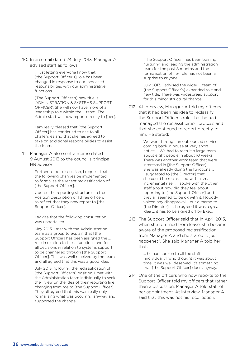210. In an email dated 24 July 2013, Manager A advised staff as follows:

> ... just letting everyone know that [the Support Officer's] role has been changed in response to our increased responsibilities with our administrative functions.

[The Support Officer's] new title is 'ADMINISTRATION & SYSTEMS SUPPORT OFFICER'. She will now have more of a leadership role within the … team. The Admin staff will now report directly to [her]. ...

I am really pleased that [the Support Officer] has continued to rise to all challenges and that she has agreed to take on additional responsibilities to assist the team.

211. Manager A also sent a memo dated 9 August 2013 to the council's principal HR advisor:

> Further to our discussion, I request that the following changes be implemented to formalise the recent reclassification of [the Support Officer].

Update the reporting structures in the Position Description of [three officers] to reflect that they now report to [the Support Officer].

I advise that the following consultation was undertaken ...

May 2013, I met with the Administration team as a group to explain that [the Support Officer] has been assigned the … role in relation to the … functions and for all decisions in relation to systems support to be channelled through [the Support Officer]. This was well received by the team and all agreed that this was a good idea.

July 2013, following the reclassification of [the Support Officer's] position, I met with the Administration team individually to seek their view on the idea of their reporting line changing from me to [the Support Officer]. They all agreed that this was really only formalising what was occurring anyway and supported the change.

[The Support Officer] has been training, nurturing and leading the administration team for the past 8 months and the formalisation of her role has not been a surprise to anyone.

July 2013, I advised the wider … team of [the Support Officer's] expanded role and new title. There was widespread support for this minor structural change.

212. At interview, Manager A told my officers that it had been his idea to reclassify the Support Officer's role, that he had managed the reclassification process and that she continued to report directly to him. He stated:

> We went through an outsourced service coming back in house at very short notice ... We had to recruit a large team, about eight people in about 10 weeks ... There was another work team that were interested in [the Support Officer] ... She was already doing the functions ... I suggested to [the Director] that she could be reclassified with a small incremental rise ... I spoke with the other staff about how did they feel about reporting to [the Support Officer] and they all seemed to be ok with it. Nobody voiced any disapproval. I put a memo to [the Director] ... she agreed it was a great idea ... it has to be signed off by Exec.

213. The Support Officer said that in April 2013, when she returned from leave, she became aware of the proposed reclassification from Manager A and she stated 'It just happened'. She said Manager A told her that:

> ... he had spoken to all the staff [individually] who thought it was about time, it was well deserved, it's something that [the Support Officer] does anyway.

214. One of the officers who now reports to the Support Officer told my officers that rather than a discussion, Manager A told staff of her appointment. At interview, Manager A said that this was not his recollection.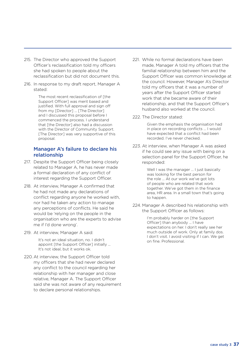- 215. The Director who approved the Support Officer's reclassification told my officers she had spoken to people about the reclassification but did not document this.
- 216. In response to my draft report, Manager A stated:

The most recent reclassification of [the Support Officer] was merit based and justified. With full approval and sign off from my [Director] ... [The Director] and I discussed this proposal before I commenced the process. I understand that [the Director] also had a discussion with the Director of Community Support. [The Director] was very supportive of this proposal.

#### Manager A's failure to declare his relationship

- 217. Despite the Support Officer being closely related to Manager A, he has never made a formal declaration of any conflict of interest regarding the Support Officer.
- 218. At interview, Manager A confirmed that he had not made any declarations of conflict regarding anyone he worked with, nor had he taken any action to manage any perceptions of conflicts. He said he would be 'relying on the people in the organisation who are the experts to advise me if I'd done wrong'.
- 219. At interview, Manager A said:

It's not an ideal situation, no. I didn't appoint [the Support Officer] initially ... It's not ideal, but it works ok.

220. At interview, the Support Officer told my officers that she had never declared any conflict to the council regarding her relationship with her manager and close relative, Manager A. The Support Officer said she was not aware of any requirement to declare personal relationships.

- 221. While no formal declarations have been made, Manager A told my officers that the familial relationship between him and the Support Officer was common knowledge at the council. However, Manager A's Director told my officers that it was a number of years after the Support Officer started work that she became aware of their relationship, and that the Support Officer's husband also worked at the council.
- 222. The Director stated:

Given the emphasis the organisation had in place on recording conflicts ... I would have expected that a conflict had been recorded. I've never checked.

223. At interview, when Manager A was asked if he could see any issue with being on a selection panel for the Support Officer, he responded:

> Well I was the manager ... I just basically was looking for the best person for the role ... At our work we've got lots of people who are related that work together. We've got them in the finance area, HR area. In a small town that's going to happen.

224. Manager A described his relationship with the Support Officer as follows:

> I'm probably harder on [the Support Officer] than anybody ... I have expectations on her. I don't really see her much outside of work. Only at family dos. I don't visit. I avoid visiting if I can. We get on fine. Professional.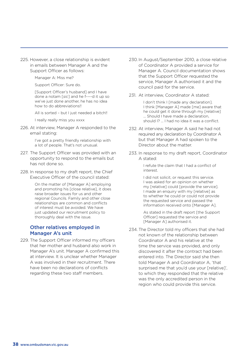225. However, a close relationship is evident in emails between Manager A and the Support Officer as follows:

Manager A: Miss me?

Support Officer: Sure do.

[Support Officer's husband] and I have done a notam [*sic*] and he f----d it up so we've just done another, he has no idea how to do abbreviations!!

All is sorted - but I just needed a bitch!!

I really really miss you xxxx

226. At interview, Manager A responded to the email stating:

> I've got a pretty friendly relationship with a lot of people. That's not unusual.

- 227. The Support Officer was provided with an opportunity to respond to the emails but has not done so.
- 228. In response to my draft report, the Chief Executive Officer of the council stated:

On the matter of [Manager A] employing and promoting his [close relative], it does raise broader issues for us and other regional Councils. Family and other close relationships are common and conflicts of interest must be avoided. We have just updated our recruitment policy to thoroughly deal with the issue.

#### Other relatives employed in Manager A's unit

229. The Support Officer informed my officers that her mother and husband also work in Manager A's unit. Manager A confirmed this at interview. It is unclear whether Manager A was involved in their recruitment. There have been no declarations of conflicts regarding these two staff members.

- 230. In August/September 2010, a close relative of Coordinator A provided a service for Manager A. Council documentation shows that the Support Officer requested the service, Manager A authorised it and the council paid for the service.
- 231. At interview, Coordinator A stated:

I don't think I [made any declaration]. I think [Manager A] made [me] aware that he could get it done through my [relative] ... Should I have made a declaration, should I? ... I had no idea it was a conflict.

- 232. At interview, Manager A said he had not required any declaration by Coordinator A but that Manager A had spoken to the Director about the matter.
- 233. In response to my draft report, Coordinator A stated:

I refute the claim that I had a conflict of interest.

I did not solicit, or request this service. I was asked for an opinion on whether my [relative] could [provide the service]. I made an enquiry with my [relative] as to whether he could or could not provide the requested service and passed the information received onto [Manager A].

As stated in the draft report [the Support Officer] requested the service and [Manager A] authorised it.

234. The Director told my officers that she had not known of the relationship between Coordinator A and his relative at the time the service was provided, and only discovered it after the contract had been entered into. The Director said she then told Manager A and Coordinator A, 'that surprised me that you'd use your [relative]', to which they responded that the relative was the only accredited person in the region who could provide this service.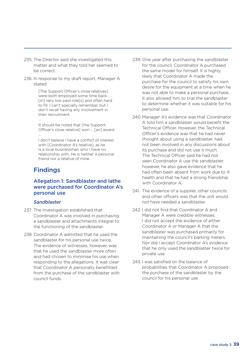- 235. The Director said she investigated this matter and what they told her seemed to be correct.
- 236. In response to my draft report, Manager A stated:

[The Support Officer's close relatives] were both employed some time back … [in] very low paid role[s] and often hard to fill. I can't specially remember, but I don't recall having any involvement in their recruitment. ...

It should be noted that [the Support Officer's close relative] won … [an] award …

I don't believe I have a conflict of interest with [Coordinator A's relative], as he is a local businessman who I have no relationship with. He is neither a personal friend nor a relative of mine.

### Findings

#### Allegation 1: Sandblaster and lathe were purchased for Coordinator A's personal use

#### *Sandblaster*

- 237. The investigation established that Coordinator A was involved in purchasing a sandblaster and attachments integral to the functioning of the sandblaster.
- 238. Coordinator A admitted that he used the sandblaster for his personal use twice. The evidence of witnesses, however, was that he used the sandblaster more often and had chosen to minimise his use when responding to the allegations. It was clear that Coordinator A personally benefitted from the purchase of the sandblaster with council funds.
- 239. One year after purchasing the sandblaster for the council, Coordinator A purchased the same model for himself. It is highly likely that Coordinator A made the purchase for the council to satisfy his own desire for the equipment at a time when he was not able to make a personal purchase. It also allowed him to trial the sandblaster to determine whether it was suitable for his personal use.
- 240. Manager A's evidence was that Coordinator A told him a sandblaster would benefit the Technical Officer. However, the Technical Officer's evidence was that he had never thought about using a sandblaster, had not been involved in any discussions about its purchase and did not use it much. The Technical Officer said he had not seen Coordinator A use the sandblaster; however, he also gave evidence that he had often been absent from work due to ill health and that he had a strong friendship with Coordinator A.
- 241. The evidence of a supplier, other councils and other officers was that the unit would not have needed a sandblaster.
- 242. I did not find that Coordinator A and Manager A were credible witnesses. I did not accept the evidence of either Coordinator A or Manager A that the sandblaster was purchased primarily for maintaining the council's parking meters. Nor did I accept Coordinator A's evidence that he only used the sandblaster twice for private use.
- 243. I was satisfied on the balance of probabilities that Coordinator A proposed the purchase of the sandblaster by the council for his personal use.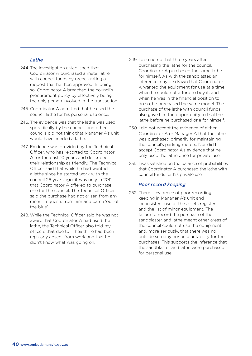#### *Lathe*

- 244. The investigation established that Coordinator A purchased a metal lathe with council funds by orchestrating a request that he then approved. In doing so, Coordinator A breached the council's procurement policy by effectively being the only person involved in the transaction.
- 245. Coordinator A admitted that he used the council lathe for his personal use once.
- 246. The evidence was that the lathe was used sporadically by the council, and other councils did not think that Manager A's unit would have needed a lathe.
- 247. Evidence was provided by the Technical Officer, who has reported to Coordinator A for the past 10 years and described their relationship as friendly. The Technical Officer said that while he had wanted a lathe since he started work with the council 26 years ago, it was only in 2011 that Coordinator A offered to purchase one for the council. The Technical Officer said the purchase had not arisen from any recent requests from him and came 'out of the blue'.
- 248. While the Technical Officer said he was not aware that Coordinator A had used the lathe, the Technical Officer also told my officers that due to ill health he had been regularly absent from work and that he didn't know what was going on.
- 249. I also noted that three years after purchasing the lathe for the council, Coordinator A purchased the same lathe for himself. As with the sandblaster, an inference may be drawn that Coordinator A wanted the equipment for use at a time when he could not afford to buy it, and when he was in the financial position to do so, he purchased the same model. The purchase of the lathe with council funds also gave him the opportunity to trial the lathe before he purchased one for himself.
- 250. I did not accept the evidence of either Coordinator A or Manager A that the lathe was purchased primarily for maintaining the council's parking meters. Nor did I accept Coordinator A's evidence that he only used the lathe once for private use.
- 251. I was satisfied on the balance of probabilities that Coordinator A purchased the lathe with council funds for his private use.

#### *Poor record keeping*

252. There is evidence of poor recording keeping in Manager A's unit and inconsistent use of the assets register and the list of minor equipment. The failure to record the purchase of the sandblaster and lathe meant other areas of the council could not use the equipment and, more seriously, that there was no outside scrutiny nor accountability for the purchases. This supports the inference that the sandblaster and lathe were purchased for personal use.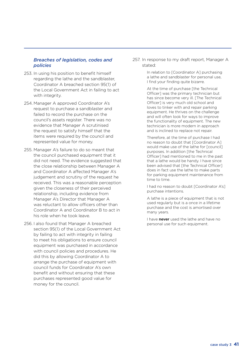#### *Breaches of legislation, codes and policies*

- 253. In using his position to benefit himself regarding the lathe and the sandblaster, Coordinator A breached section 95(1) of the Local Government Act in failing to act with integrity.
- 254. Manager A approved Coordinator A's request to purchase a sandblaster and failed to record the purchase on the council's assets register. There was no evidence that Manager A scrutinised the request to satisfy himself that the items were required by the council and represented value for money.
- 255. Manager A's failure to do so meant that the council purchased equipment that it did not need. The evidence suggested that the close relationship between Manager A and Coordinator A affected Manager A's judgement and scrutiny of the request he received. This was a reasonable perception given the closeness of their perceived relationship, including evidence from Manager A's Director that Manager A was reluctant to allow officers other than Coordinator A and Coordinator B to act in his role when he took leave.
- 256. I also found that Manager A breached section 95(1) of the Local Government Act by failing to act with integrity in failing to meet his obligations to ensure council equipment was purchased in accordance with council policies and procedures. He did this by allowing Coordinator A to arrange the purchase of equipment with council funds for Coordinator A's own benefit and without ensuring that these purchases represented good value for money for the council.

257. In response to my draft report, Manager A stated:

> In relation to [Coordinator A] purchasing a lathe and sandblaster for personal use, I find your finding quite bizarre.

> At the time of purchase [the Technical Officer] was the primary technician but has since become very ill. [The Technical Officer] is very much old school and loves to tinker with and repair parking equipment. He thrives on the challenge and will often look for ways to improve the functionality of equipment. The new technician is more modern in approach and is inclined to replace not repair.

Therefore, at the time of purchase I had no reason to doubt that [Coordinator A] would make use of the lathe for [council] purposes. In addition [the Technical Officer] had mentioned to me in the past that a lathe would be handy. I have since been advised that [the Technical Officer] does in fact use the lathe to make parts for parking equipment maintenance from time to time.

I had no reason to doubt [Coordinator A's] purchase intentions.

A lathe is a piece of equipment that is not used regularly but is a once in a lifetime purchase and the cost is amortised over many years.

I have never used the lathe and have no personal use for such equipment.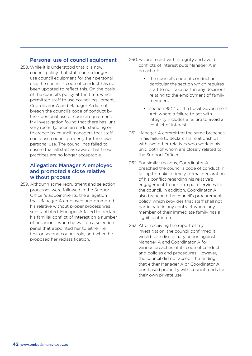#### Personal use of council equipment

258. While it is understood that it is now council policy that staff can no longer use council equipment for their personal use, the council's code of conduct has not been updated to reflect this. On the basis of the council's policy at the time, which permitted staff to use council equipment, Coordinator A and Manager A did not breach the council's code of conduct by their personal use of council equipment. My investigation found that there has, until very recently, been an understanding or tolerance by council managers that staff could use council property for their own personal use. The council has failed to ensure that all staff are aware that these practices are no longer acceptable.

#### Allegation: Manager A employed and promoted a close relative without process

259. Although some recruitment and selection processes were followed in the Support Officer's appointments, the allegation that Manager A employed and promoted his relative without proper process was substantiated. Manager A failed to declare his familial conflict of interest on a number of occasions: when he was on a selection panel that appointed her to either her first or second council role, and when he proposed her reclassification.

- 260.Failure to act with integrity and avoid conflicts of interest puts Manager A in breach of:
	- the council's code of conduct, in particular the section which requires staff to not take part in any decisions relating to the employment of family members
	- section 95(1) of the Local Government Act, where a failure to act with integrity includes a failure to avoid a conflict of interest.
- 261. Manager A committed the same breaches in his failure to declare his relationships with two other relatives who work in his unit, both of whom are closely related to the Support Officer.
- 262. For similar reasons, Coordinator A breached the council's code of conduct in failing to make a timely formal declaration of his conflict regarding his relative's engagement to perform paid services for the council. In addition, Coordinator A also breached the council's procurement policy, which provides that staff shall not participate in any contract where any member of their immediate family has a significant interest.
- 263. After receiving the report of my investigation, the council confirmed it would take disciplinary action against Manager A and Coordinator A for various breaches of its code of conduct and policies and procedures. However, the council did not accept the finding that either Manager A or Coordinator A purchased property with council funds for their own private use.